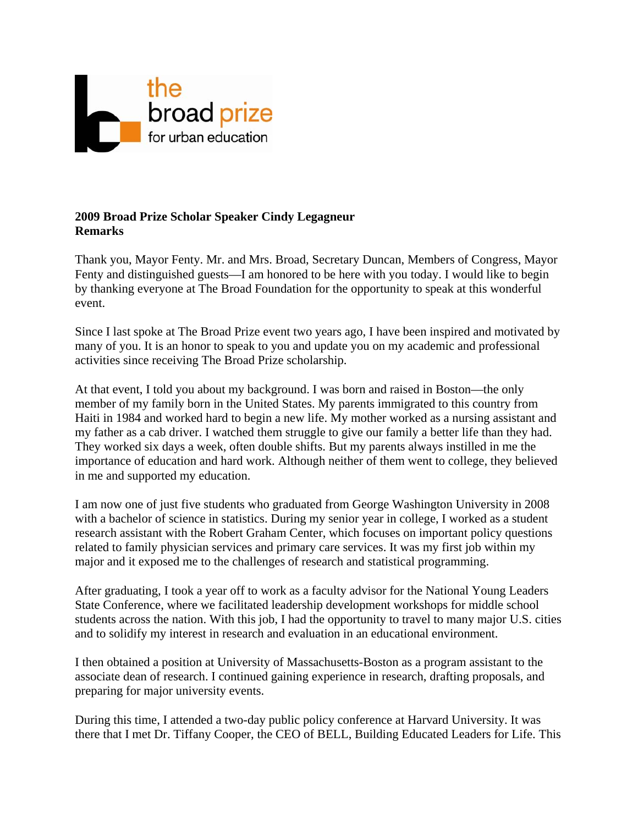

## **2009 Broad Prize Scholar Speaker Cindy Legagneur Remarks**

Thank you, Mayor Fenty. Mr. and Mrs. Broad, Secretary Duncan, Members of Congress, Mayor Fenty and distinguished guests—I am honored to be here with you today. I would like to begin by thanking everyone at The Broad Foundation for the opportunity to speak at this wonderful event.

Since I last spoke at The Broad Prize event two years ago, I have been inspired and motivated by many of you. It is an honor to speak to you and update you on my academic and professional activities since receiving The Broad Prize scholarship.

At that event, I told you about my background. I was born and raised in Boston—the only member of my family born in the United States. My parents immigrated to this country from Haiti in 1984 and worked hard to begin a new life. My mother worked as a nursing assistant and my father as a cab driver. I watched them struggle to give our family a better life than they had. They worked six days a week, often double shifts. But my parents always instilled in me the importance of education and hard work. Although neither of them went to college, they believed in me and supported my education.

I am now one of just five students who graduated from George Washington University in 2008 with a bachelor of science in statistics. During my senior year in college, I worked as a student research assistant with the Robert Graham Center, which focuses on important policy questions related to family physician services and primary care services. It was my first job within my major and it exposed me to the challenges of research and statistical programming.

After graduating, I took a year off to work as a faculty advisor for the National Young Leaders State Conference, where we facilitated leadership development workshops for middle school students across the nation. With this job, I had the opportunity to travel to many major U.S. cities and to solidify my interest in research and evaluation in an educational environment.

I then obtained a position at University of Massachusetts-Boston as a program assistant to the associate dean of research. I continued gaining experience in research, drafting proposals, and preparing for major university events.

During this time, I attended a two-day public policy conference at Harvard University. It was there that I met Dr. Tiffany Cooper, the CEO of BELL, Building Educated Leaders for Life. This